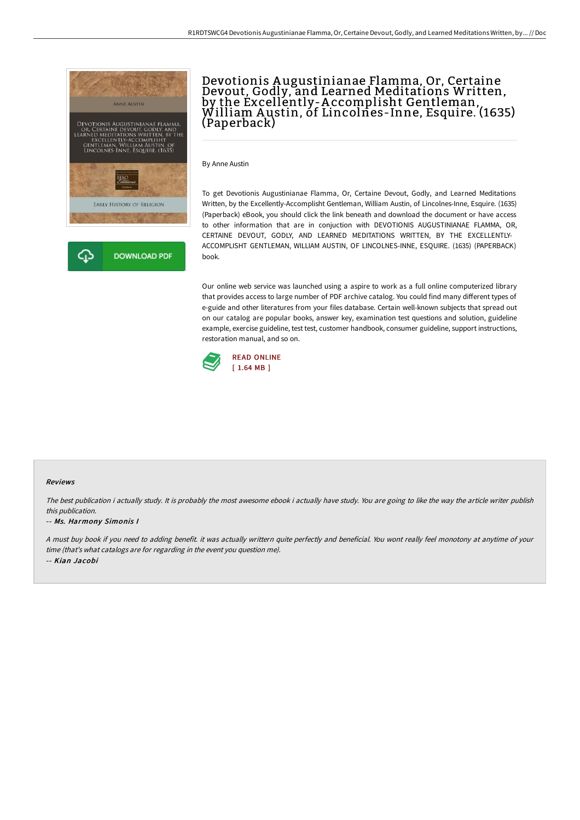

# Devotionis A ugustinianae Flamma, Or, Certaine Devout, Godly, and Learned Meditations Written, by the Excellently-A ccomplisht Gentleman, William <sup>A</sup> ustin, of Lincolnes-Inne, Esquire. (1635) (Paperback)

By Anne Austin

To get Devotionis Augustinianae Flamma, Or, Certaine Devout, Godly, and Learned Meditations Written, by the Excellently-Accomplisht Gentleman, William Austin, of Lincolnes-Inne, Esquire. (1635) (Paperback) eBook, you should click the link beneath and download the document or have access to other information that are in conjuction with DEVOTIONIS AUGUSTINIANAE FLAMMA, OR, CERTAINE DEVOUT, GODLY, AND LEARNED MEDITATIONS WRITTEN, BY THE EXCELLENTLY-ACCOMPLISHT GENTLEMAN, WILLIAM AUSTIN, OF LINCOLNES-INNE, ESQUIRE. (1635) (PAPERBACK) book.

Our online web service was launched using a aspire to work as a full online computerized library that provides access to large number of PDF archive catalog. You could find many different types of e-guide and other literatures from your files database. Certain well-known subjects that spread out on our catalog are popular books, answer key, examination test questions and solution, guideline example, exercise guideline, test test, customer handbook, consumer guideline, support instructions, restoration manual, and so on.



#### Reviews

The best publication i actually study. It is probably the most awesome ebook i actually have study. You are going to like the way the article writer publish this publication.

#### -- Ms. Harmony Simonis I

<sup>A</sup> must buy book if you need to adding benefit. it was actually writtern quite perfectly and beneficial. You wont really feel monotony at anytime of your time (that's what catalogs are for regarding in the event you question me). -- Kian Jacobi